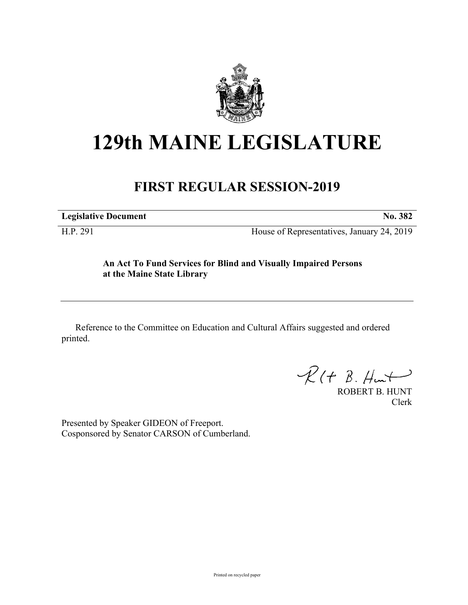

## **129th MAINE LEGISLATURE**

## **FIRST REGULAR SESSION-2019**

**Legislative Document No. 382**

H.P. 291 House of Representatives, January 24, 2019

## **An Act To Fund Services for Blind and Visually Impaired Persons at the Maine State Library**

Reference to the Committee on Education and Cultural Affairs suggested and ordered printed.

 $\mathcal{R}(t \; \mathcal{B}, \mathcal{H}_{\mathsf{int}})$ 

ROBERT B. HUNT Clerk

Presented by Speaker GIDEON of Freeport. Cosponsored by Senator CARSON of Cumberland.